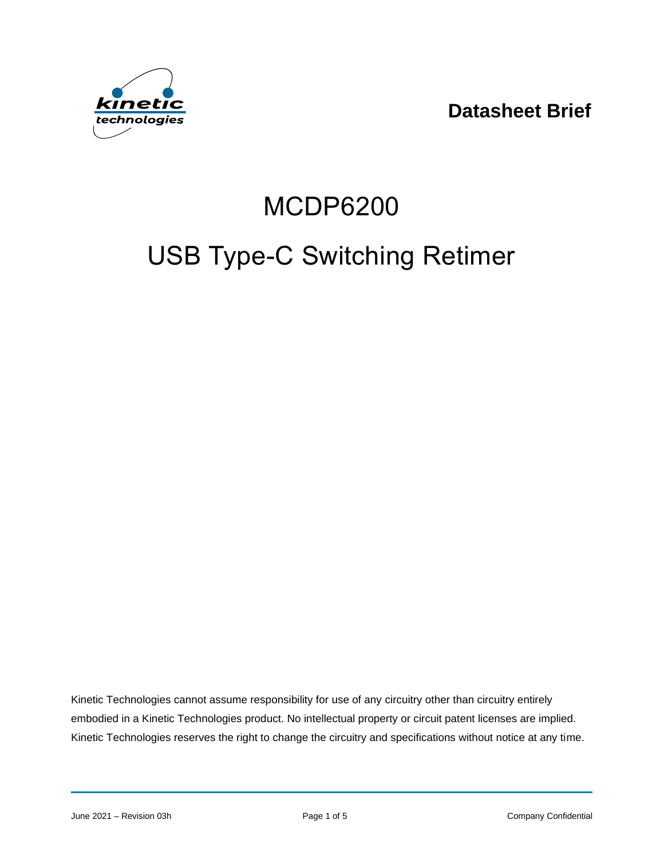**Datasheet Brief**



# MCDP6200

# USB Type-C Switching Retimer

Kinetic Technologies cannot assume responsibility for use of any circuitry other than circuitry entirely embodied in a Kinetic Technologies product. No intellectual property or circuit patent licenses are implied. Kinetic Technologies reserves the right to change the circuitry and specifications without notice at any time.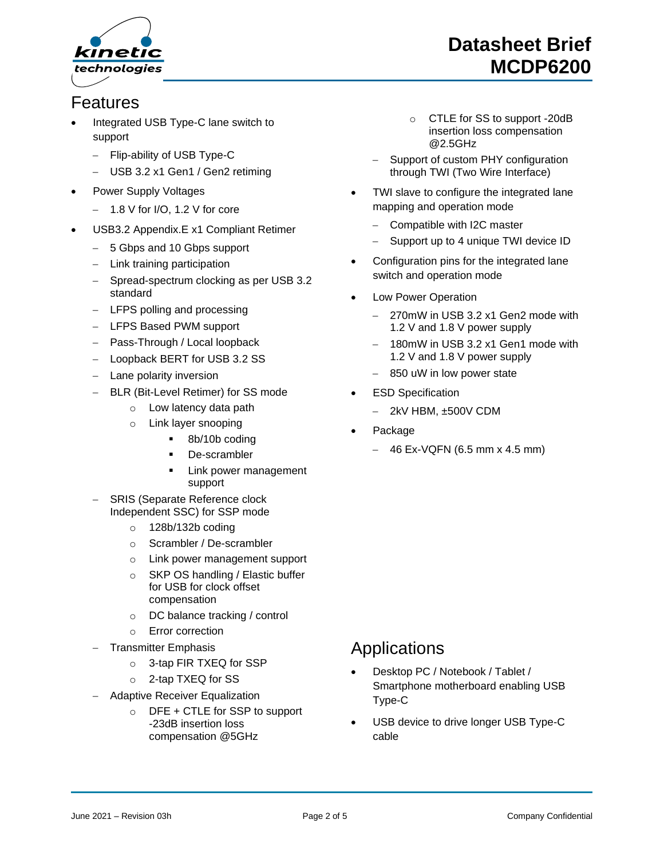

#### Features

- Integrated USB Type-C lane switch to support
	- − Flip-ability of USB Type-C
	- USB 3.2 x1 Gen1 / Gen2 retiming
- Power Supply Voltages
	- − 1.8 V for I/O, 1.2 V for core
- USB3.2 Appendix.E x1 Compliant Retimer
	- − 5 Gbps and 10 Gbps support
	- − Link training participation
	- − Spread-spectrum clocking as per USB 3.2 standard
	- − LFPS polling and processing
	- − LFPS Based PWM support
	- − Pass-Through / Local loopback
	- − Loopback BERT for USB 3.2 SS
	- Lane polarity inversion
	- − BLR (Bit-Level Retimer) for SS mode
		- o Low latency data path
		- o Link layer snooping
			- 8b/10b coding
			- De-scrambler
			- Link power management support
	- SRIS (Separate Reference clock Independent SSC) for SSP mode
		- o 128b/132b coding
		- o Scrambler / De-scrambler
		- o Link power management support
		- o SKP OS handling / Elastic buffer for USB for clock offset compensation
		- o DC balance tracking / control
		- o Error correction
	- − Transmitter Emphasis
		- o 3-tap FIR TXEQ for SSP
		- o 2-tap TXEQ for SS
	- − Adaptive Receiver Equalization
		- $\circ$  DFE + CTLE for SSP to support -23dB insertion loss compensation @5GHz

# **Datasheet Brief MCDP6200**

- o CTLE for SS to support -20dB insertion loss compensation @2.5GHz
- Support of custom PHY configuration through TWI (Two Wire Interface)
- TWI slave to configure the integrated lane mapping and operation mode
	- − Compatible with I2C master
	- Support up to 4 unique TWI device ID
- Configuration pins for the integrated lane switch and operation mode
- Low Power Operation
	- − 270mW in USB 3.2 x1 Gen2 mode with 1.2 V and 1.8 V power supply
	- − 180mW in USB 3.2 x1 Gen1 mode with 1.2 V and 1.8 V power supply
	- − 850 uW in low power state
- **ESD Specification** 
	- − 2kV HBM, ±500V CDM
- Package
	- − 46 Ex-VQFN (6.5 mm x 4.5 mm)

#### **Applications**

- Desktop PC / Notebook / Tablet / Smartphone motherboard enabling USB Type-C
- USB device to drive longer USB Type-C cable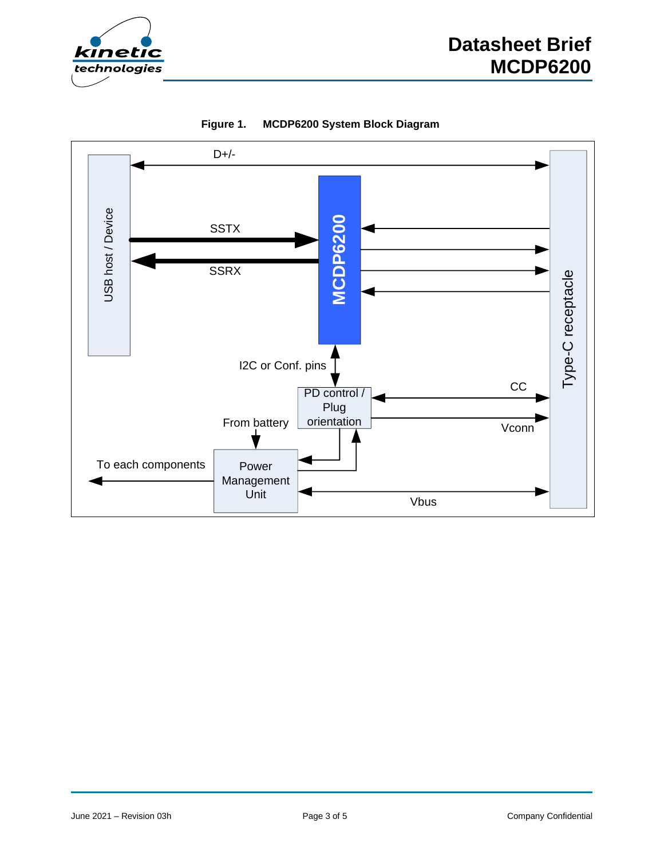



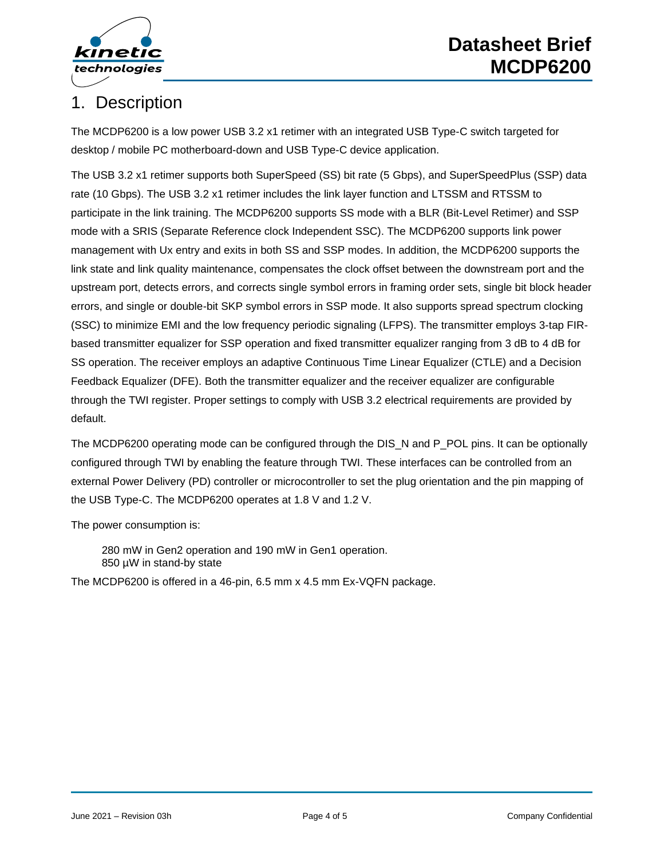

### 1. Description

The MCDP6200 is a low power USB 3.2 x1 retimer with an integrated USB Type-C switch targeted for desktop / mobile PC motherboard-down and USB Type-C device application.

The USB 3.2 x1 retimer supports both SuperSpeed (SS) bit rate (5 Gbps), and SuperSpeedPlus (SSP) data rate (10 Gbps). The USB 3.2 x1 retimer includes the link layer function and LTSSM and RTSSM to participate in the link training. The MCDP6200 supports SS mode with a BLR (Bit-Level Retimer) and SSP mode with a SRIS (Separate Reference clock Independent SSC). The MCDP6200 supports link power management with Ux entry and exits in both SS and SSP modes. In addition, the MCDP6200 supports the link state and link quality maintenance, compensates the clock offset between the downstream port and the upstream port, detects errors, and corrects single symbol errors in framing order sets, single bit block header errors, and single or double-bit SKP symbol errors in SSP mode. It also supports spread spectrum clocking (SSC) to minimize EMI and the low frequency periodic signaling (LFPS). The transmitter employs 3-tap FIRbased transmitter equalizer for SSP operation and fixed transmitter equalizer ranging from 3 dB to 4 dB for SS operation. The receiver employs an adaptive Continuous Time Linear Equalizer (CTLE) and a Decision Feedback Equalizer (DFE). Both the transmitter equalizer and the receiver equalizer are configurable through the TWI register. Proper settings to comply with USB 3.2 electrical requirements are provided by default.

The MCDP6200 operating mode can be configured through the DIS N and P\_POL pins. It can be optionally configured through TWI by enabling the feature through TWI. These interfaces can be controlled from an external Power Delivery (PD) controller or microcontroller to set the plug orientation and the pin mapping of the USB Type-C. The MCDP6200 operates at 1.8 V and 1.2 V.

The power consumption is:

280 mW in Gen2 operation and 190 mW in Gen1 operation. 850 µW in stand-by state

The MCDP6200 is offered in a 46-pin, 6.5 mm x 4.5 mm Ex-VQFN package.